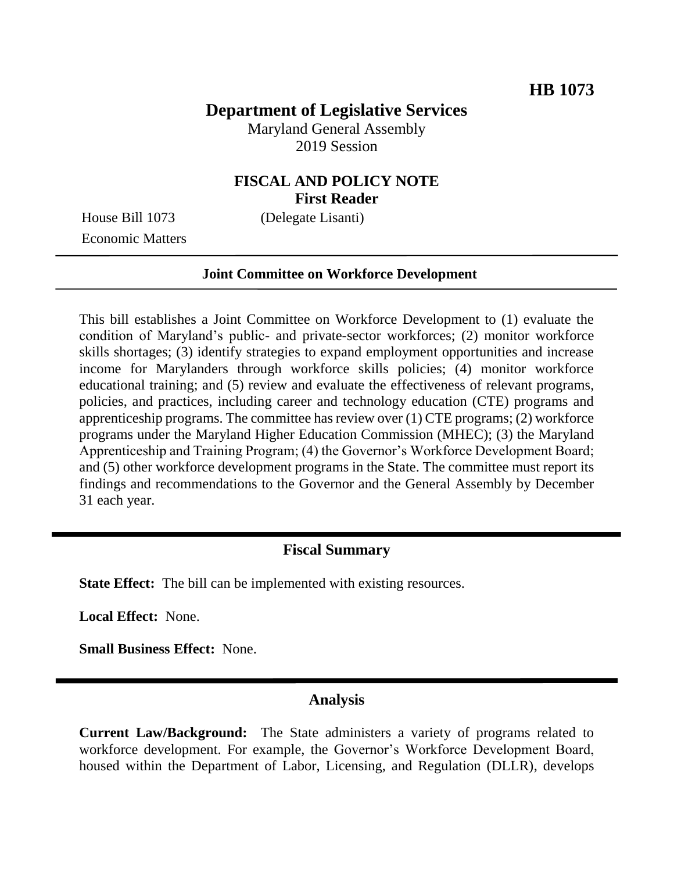# **Department of Legislative Services**

Maryland General Assembly 2019 Session

## **FISCAL AND POLICY NOTE First Reader**

House Bill 1073 (Delegate Lisanti) Economic Matters

#### **Joint Committee on Workforce Development**

This bill establishes a Joint Committee on Workforce Development to (1) evaluate the condition of Maryland's public- and private-sector workforces; (2) monitor workforce skills shortages; (3) identify strategies to expand employment opportunities and increase income for Marylanders through workforce skills policies; (4) monitor workforce educational training; and (5) review and evaluate the effectiveness of relevant programs, policies, and practices, including career and technology education (CTE) programs and apprenticeship programs. The committee has review over (1) CTE programs; (2) workforce programs under the Maryland Higher Education Commission (MHEC); (3) the Maryland Apprenticeship and Training Program; (4) the Governor's Workforce Development Board; and (5) other workforce development programs in the State. The committee must report its findings and recommendations to the Governor and the General Assembly by December 31 each year.

### **Fiscal Summary**

**State Effect:** The bill can be implemented with existing resources.

**Local Effect:** None.

**Small Business Effect:** None.

### **Analysis**

**Current Law/Background:** The State administers a variety of programs related to workforce development. For example, the Governor's Workforce Development Board, housed within the Department of Labor, Licensing, and Regulation (DLLR), develops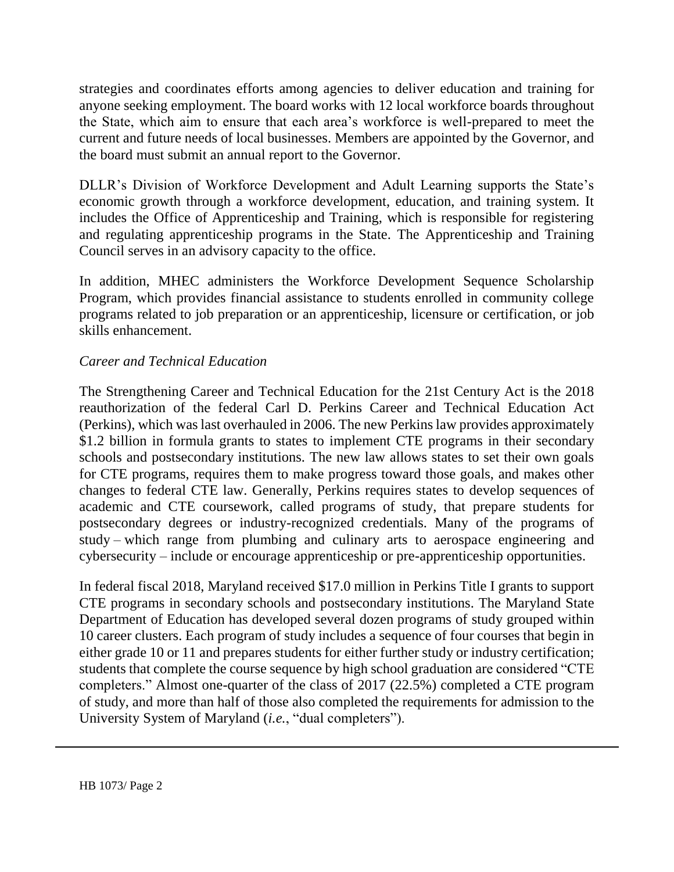strategies and coordinates efforts among agencies to deliver education and training for anyone seeking employment. The board works with 12 local workforce boards throughout the State, which aim to ensure that each area's workforce is well-prepared to meet the current and future needs of local businesses. Members are appointed by the Governor, and the board must submit an annual report to the Governor.

DLLR's Division of Workforce Development and Adult Learning supports the State's economic growth through a workforce development, education, and training system. It includes the Office of Apprenticeship and Training, which is responsible for registering and regulating apprenticeship programs in the State. The Apprenticeship and Training Council serves in an advisory capacity to the office.

In addition, MHEC administers the Workforce Development Sequence Scholarship Program, which provides financial assistance to students enrolled in community college programs related to job preparation or an apprenticeship, licensure or certification, or job skills enhancement.

## *Career and Technical Education*

The Strengthening Career and Technical Education for the 21st Century Act is the 2018 reauthorization of the federal Carl D. Perkins Career and Technical Education Act (Perkins), which was last overhauled in 2006. The new Perkins law provides approximately \$1.2 billion in formula grants to states to implement CTE programs in their secondary schools and postsecondary institutions. The new law allows states to set their own goals for CTE programs, requires them to make progress toward those goals, and makes other changes to federal CTE law. Generally, Perkins requires states to develop sequences of academic and CTE coursework, called programs of study, that prepare students for postsecondary degrees or industry-recognized credentials. Many of the programs of study – which range from plumbing and culinary arts to aerospace engineering and cybersecurity – include or encourage apprenticeship or pre-apprenticeship opportunities.

In federal fiscal 2018, Maryland received \$17.0 million in Perkins Title I grants to support CTE programs in secondary schools and postsecondary institutions. The Maryland State Department of Education has developed several dozen programs of study grouped within 10 career clusters. Each program of study includes a sequence of four courses that begin in either grade 10 or 11 and prepares students for either further study or industry certification; students that complete the course sequence by high school graduation are considered "CTE completers." Almost one-quarter of the class of 2017 (22.5%) completed a CTE program of study, and more than half of those also completed the requirements for admission to the University System of Maryland (*i.e.*, "dual completers").